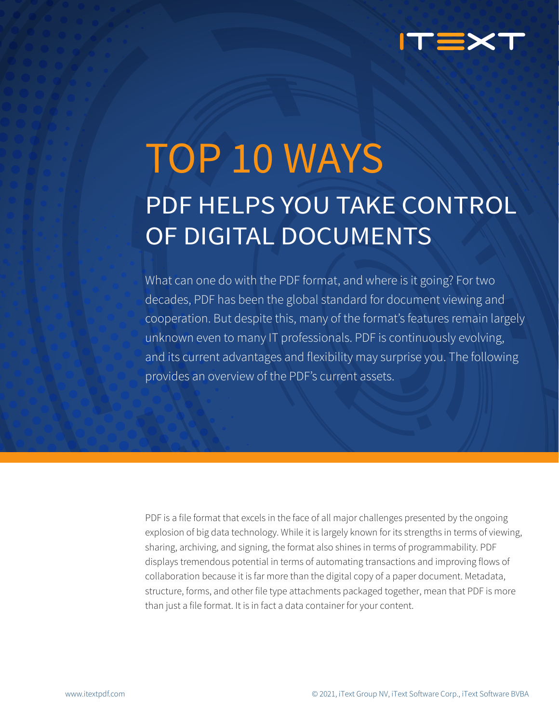

# TOP 10 WAYS PDF HELPS YOU TAKE CONTROL OF DIGITAL DOCUMENTS

What can one do with the PDF format, and where is it going? For two decades, PDF has been the global standard for document viewing and cooperation. But despite this, many of the format's features remain largely unknown even to many IT professionals. PDF is continuously evolving, and its current advantages and flexibility may surprise you. The following provides an overview of the PDF's current assets.

PDF is a file format that excels in the face of all major challenges presented by the ongoing explosion of big data technology. While it is largely known for its strengths in terms of viewing, sharing, archiving, and signing, the format also shines in terms of programmability. PDF displays tremendous potential in terms of automating transactions and improving flows of collaboration because it is far more than the digital copy of a paper document. Metadata, structure, forms, and other file type attachments packaged together, mean that PDF is more than just a file format. It is in fact a data container for your content.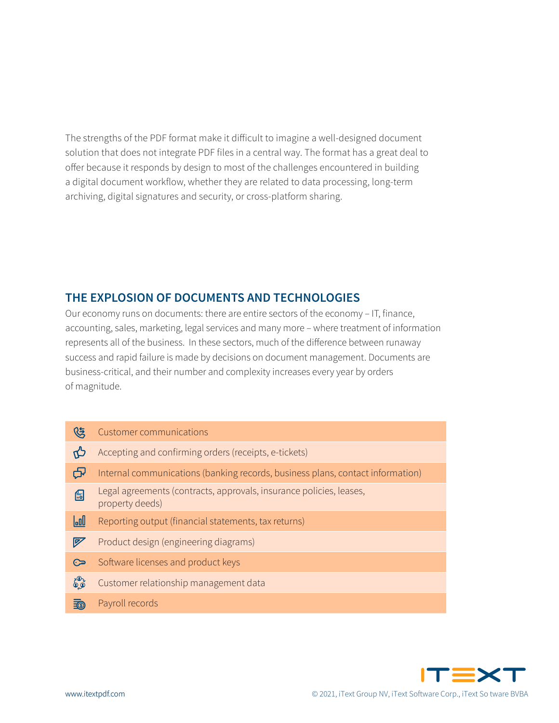The strengths of the PDF format make it difficult to imagine a well-designed document solution that does not integrate PDF files in a central way. The format has a great deal to offer because it responds by design to most of the challenges encountered in building a digital document workflow, whether they are related to data processing, long-term archiving, digital signatures and security, or cross-platform sharing.

# **THE EXPLOSION OF DOCUMENTS AND TECHNOLOGIES**

Our economy runs on documents: there are entire sectors of the economy - IT, finance, accounting, sales, marketing, legal services and many more – where treatment of information represents all of the business. In these sectors, much of the difference between runaway success and rapid failure is made by decisions on document management. Documents are business-critical, and their number and complexity increases every year by orders of magnitude.

| ८३         | <b>Customer communications</b>                                                         |
|------------|----------------------------------------------------------------------------------------|
| ಗು         | Accepting and confirming orders (receipts, e-tickets)                                  |
| ᡶ          | Internal communications (banking records, business plans, contact information)         |
| 的          | Legal agreements (contracts, approvals, insurance policies, leases,<br>property deeds) |
| laall      | Reporting output (financial statements, tax returns)                                   |
| y          | Product design (engineering diagrams)                                                  |
| ھئ         | Software licenses and product keys                                                     |
| $60^\circ$ | Customer relationship management data                                                  |
| <b>E</b>   | Payroll records                                                                        |

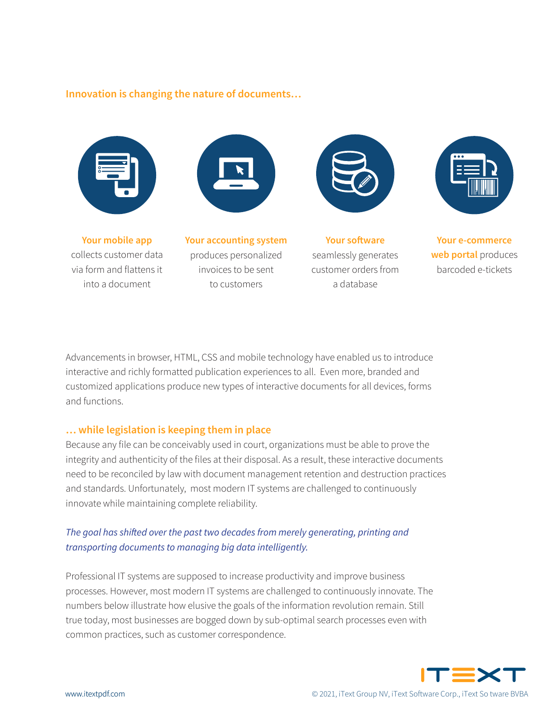#### **Innovation is changing the nature of documents…**



**Your mobile app** collects customer data via form and flattens it into a document



**Your accounting system** produces personalized invoices to be sent to customers



**Your software** seamlessly generates customer orders from a database



**Your e-commerce**  web portal produces barcoded e-tickets

Advancements in browser, HTML, CSS and mobile technology have enabled us to introduce interactive and richly formatted publication experiences to all. Even more, branded and customized applications produce new types of interactive documents for all devices, forms and functions.

#### **...** while legislation is keeping them in place

Because any file can be conceivably used in court, organizations must be able to prove the integrity and authenticity of the files at their disposal. As a result, these interactive documents need to be reconciled by law with document management retention and destruction practices and standards. Unfortunately, most modern IT systems are challenged to continuously innovate while maintaining complete reliability.

## The goal has shifted over the past two decades from merely generating, printing and transporting documents to managing big data intelligently.

Professional IT systems are supposed to increase productivity and improve business processes. However, most modern IT systems are challenged to continuously innovate. The numbers below illustrate how elusive the goals of the information revolution remain. Still true today, most businesses are bogged down by sub-optimal search processes even with common practices, such as customer correspondence.

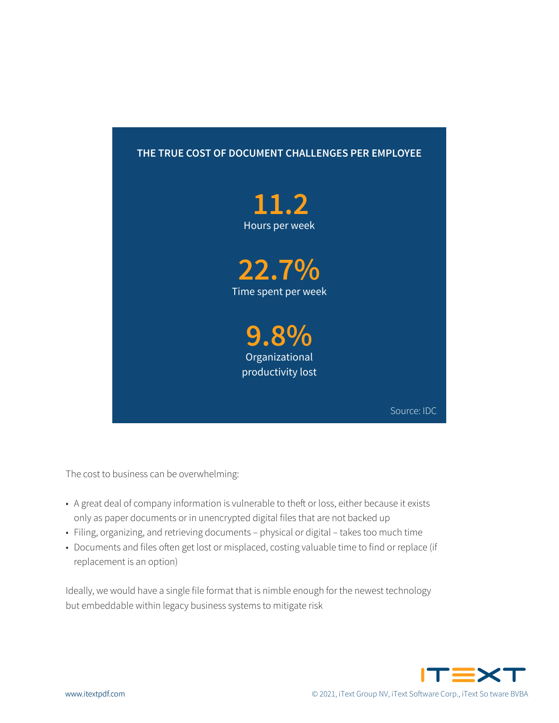## THE TRUE COST OF DOCUMENT CHALLENGES PER EMPLOYEE



The cost to business can be overwhelming:

- A great deal of company information is vulnerable to theft or loss, either because it exists only as paper documents or in unencrypted digital files that are not backed up
- · Filing, organizing, and retrieving documents physical or digital takes too much time
- Documents and files often get lost or misplaced, costing valuable time to find or replace (if replacement is an option)

Ideally, we would have a single file format that is nimble enough for the newest technology but embeddable within legacy business systems to mitigate risk

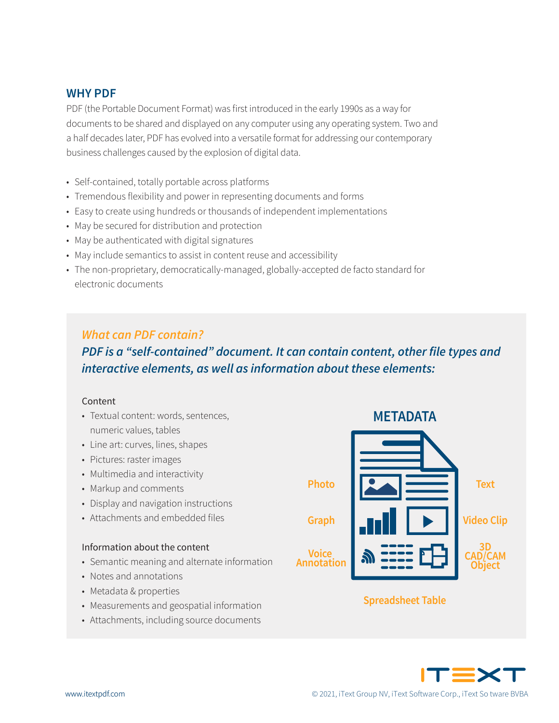## **WHY PDF**

PDF (the Portable Document Format) was first introduced in the early 1990s as a way for documents to be shared and displayed on any computer using any operating system. Two and a half decades later, PDF has evolved into a versatile format for addressing our contemporary business challenges caused by the explosion of digital data.

- Self-contained, totally portable across platforms
- Tremendous flexibility and power in representing documents and forms
- Easy to create using hundreds or thousands of independent implementations
- May be secured for distribution and protection
- May be authenticated with digital signatures
- May include semantics to assist in content reuse and accessibility
- The non-proprietary, democratically-managed, globally-accepted de facto standard for electronic documents

## **What can PDF contain?**

# PDF is a "self-contained" document. It can contain content, other file types and interactive elements, as well as information about these elements:

#### Content

- Textual content: words, sentences, numeric values, tables
- Line art: curves, lines, shapes
- Pictures: raster images
- Multimedia and interactivity
- Markup and comments
- Display and navigation instructions
- Attachments and embedded files

#### Information about the content

- Semantic meaning and alternate information
- Notes and annotations
- Metadata & properties
- Measurements and geospatial information
- Attachments, including source documents



## **Spreadsheet Table**

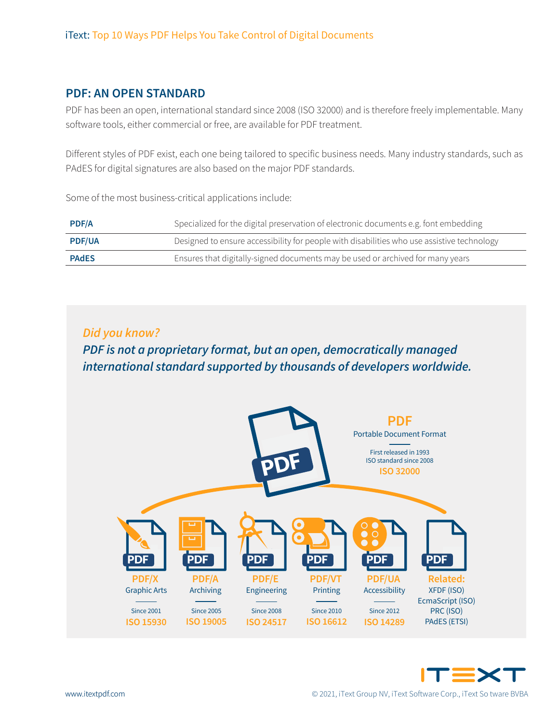## **PDF: AN OPEN STANDARD**

PDF has been an open, international standard since 2008 (ISO 32000) and is therefore freely implementable. Many software tools, either commercial or free, are available for PDF treatment.

Different styles of PDF exist, each one being tailored to specific business needs. Many industry standards, such as PAdES for digital signatures are also based on the major PDF standards.

Some of the most business-critical applications include:

| <b>PDF/A</b>  | Specialized for the digital preservation of electronic documents e.g. font embedding       |
|---------------|--------------------------------------------------------------------------------------------|
| <b>PDF/UA</b> | Designed to ensure accessibility for people with disabilities who use assistive technology |
| <b>PAdES</b>  | Ensures that digitally-signed documents may be used or archived for many years             |

## Did you know?

PDF is not a proprietary format, but an open, democratically managed international standard supported by thousands of developers worldwide.



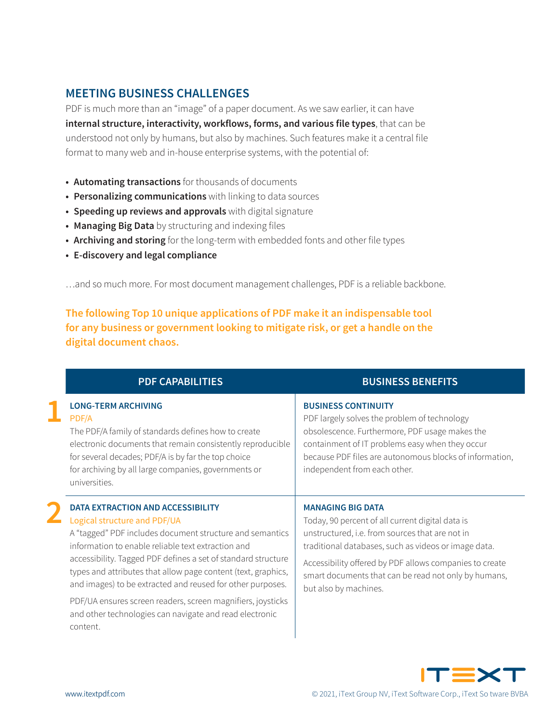## **MEETING BUSINESS CHALLENGES**

PDF is much more than an "image" of a paper document. As we saw earlier, it can have internal structure, interactivity, workflows, forms, and various file types, that can be understood not only by humans, but also by machines. Such features make it a central file format to many web and in-house enterprise systems, with the potential of:

- Automating transactions for thousands of documents
- Personalizing communications with linking to data sources
- Speeding up reviews and approvals with digital signature
- Managing Big Data by structuring and indexing files
- Archiving and storing for the long-term with embedded fonts and other file types
- E-discovery and legal compliance

...and so much more. For most document management challenges, PDF is a reliable backbone.

The following Top 10 unique applications of PDF make it an indispensable tool for any business or government looking to mitigate risk, or get a handle on the digital document chaos.

| <b>PDF CAPABILITIES</b>                                                                                                                                                                                                                                                                                                                                                                                                                                                                                                   | <b>BUSINESS BENEFITS</b>                                                                                                                                                                                                                                                                                                            |
|---------------------------------------------------------------------------------------------------------------------------------------------------------------------------------------------------------------------------------------------------------------------------------------------------------------------------------------------------------------------------------------------------------------------------------------------------------------------------------------------------------------------------|-------------------------------------------------------------------------------------------------------------------------------------------------------------------------------------------------------------------------------------------------------------------------------------------------------------------------------------|
| <b>LONG-TERM ARCHIVING</b><br>PDF/A<br>The PDF/A family of standards defines how to create<br>electronic documents that remain consistently reproducible<br>for several decades; PDF/A is by far the top choice<br>for archiving by all large companies, governments or<br>universities.                                                                                                                                                                                                                                  | <b>BUSINESS CONTINUITY</b><br>PDF largely solves the problem of technology<br>obsolescence. Furthermore, PDF usage makes the<br>containment of IT problems easy when they occur<br>because PDF files are autonomous blocks of information,<br>independent from each other.                                                          |
| DATA EXTRACTION AND ACCESSIBILITY<br>Logical structure and PDF/UA<br>A "tagged" PDF includes document structure and semantics<br>information to enable reliable text extraction and<br>accessibility. Tagged PDF defines a set of standard structure<br>types and attributes that allow page content (text, graphics,<br>and images) to be extracted and reused for other purposes.<br>PDF/UA ensures screen readers, screen magnifiers, joysticks<br>and other technologies can navigate and read electronic<br>content. | <b>MANAGING BIG DATA</b><br>Today, 90 percent of all current digital data is<br>unstructured, i.e. from sources that are not in<br>traditional databases, such as videos or image data.<br>Accessibility offered by PDF allows companies to create<br>smart documents that can be read not only by humans,<br>but also by machines. |

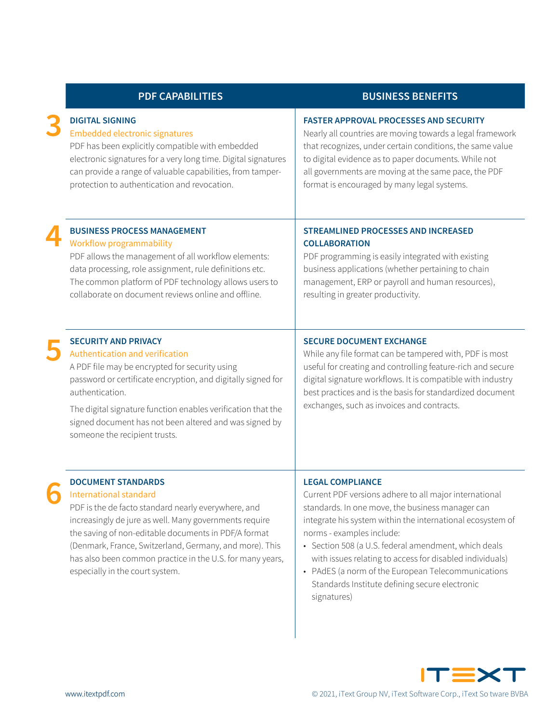| <b>PDF CAPABILITIES</b>                                                                                                                                                                                                                                                                                                                                                                 | <b>BUSINESS BENEFITS</b>                                                                                                                                                                                                                                                                                                                                                                                                                                                    |
|-----------------------------------------------------------------------------------------------------------------------------------------------------------------------------------------------------------------------------------------------------------------------------------------------------------------------------------------------------------------------------------------|-----------------------------------------------------------------------------------------------------------------------------------------------------------------------------------------------------------------------------------------------------------------------------------------------------------------------------------------------------------------------------------------------------------------------------------------------------------------------------|
| <b>DIGITAL SIGNING</b><br><b>Embedded electronic signatures</b><br>PDF has been explicitly compatible with embedded<br>electronic signatures for a very long time. Digital signatures<br>can provide a range of valuable capabilities, from tamper-<br>protection to authentication and revocation.                                                                                     | <b>FASTER APPROVAL PROCESSES AND SECURITY</b><br>Nearly all countries are moving towards a legal framework<br>that recognizes, under certain conditions, the same value<br>to digital evidence as to paper documents. While not<br>all governments are moving at the same pace, the PDF<br>format is encouraged by many legal systems.                                                                                                                                      |
| <b>BUSINESS PROCESS MANAGEMENT</b><br><b>Workflow programmability</b><br>PDF allows the management of all workflow elements:<br>data processing, role assignment, rule definitions etc.<br>The common platform of PDF technology allows users to<br>collaborate on document reviews online and offline.                                                                                 | <b>STREAMLINED PROCESSES AND INCREASED</b><br><b>COLLABORATION</b><br>PDF programming is easily integrated with existing<br>business applications (whether pertaining to chain<br>management, ERP or payroll and human resources),<br>resulting in greater productivity.                                                                                                                                                                                                    |
| <b>SECURITY AND PRIVACY</b><br>Authentication and verification<br>A PDF file may be encrypted for security using<br>password or certificate encryption, and digitally signed for<br>authentication.<br>The digital signature function enables verification that the<br>signed document has not been altered and was signed by<br>someone the recipient trusts.                          | <b>SECURE DOCUMENT EXCHANGE</b><br>While any file format can be tampered with, PDF is most<br>useful for creating and controlling feature-rich and secure<br>digital signature workflows. It is compatible with industry<br>best practices and is the basis for standardized document<br>exchanges, such as invoices and contracts.                                                                                                                                         |
| <b>DOCUMENT STANDARDS</b><br>International standard<br>PDF is the de facto standard nearly everywhere, and<br>increasingly de jure as well. Many governments require<br>the saving of non-editable documents in PDF/A format<br>(Denmark, France, Switzerland, Germany, and more). This<br>has also been common practice in the U.S. for many years,<br>especially in the court system. | <b>LEGAL COMPLIANCE</b><br>Current PDF versions adhere to all major international<br>standards. In one move, the business manager can<br>integrate his system within the international ecosystem of<br>norms - examples include:<br>• Section 508 (a U.S. federal amendment, which deals<br>with issues relating to access for disabled individuals)<br>• PAdES (a norm of the European Telecommunications<br>Standards Institute defining secure electronic<br>signatures) |

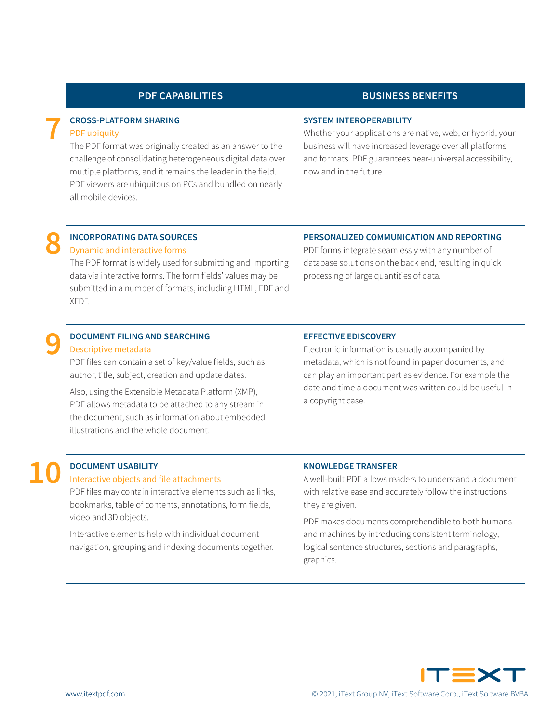| <b>PDF CAPABILITIES</b>                                                                                                                                                                                                                                                                                                                                                                   | <b>BUSINESS BENEFITS</b>                                                                                                                                                                                                                                                                                                                                |
|-------------------------------------------------------------------------------------------------------------------------------------------------------------------------------------------------------------------------------------------------------------------------------------------------------------------------------------------------------------------------------------------|---------------------------------------------------------------------------------------------------------------------------------------------------------------------------------------------------------------------------------------------------------------------------------------------------------------------------------------------------------|
| <b>CROSS-PLATFORM SHARING</b><br><b>PDF</b> ubiquity<br>The PDF format was originally created as an answer to the<br>challenge of consolidating heterogeneous digital data over<br>multiple platforms, and it remains the leader in the field.<br>PDF viewers are ubiquitous on PCs and bundled on nearly<br>all mobile devices.                                                          | <b>SYSTEM INTEROPERABILITY</b><br>Whether your applications are native, web, or hybrid, your<br>business will have increased leverage over all platforms<br>and formats. PDF guarantees near-universal accessibility,<br>now and in the future.                                                                                                         |
| <b>INCORPORATING DATA SOURCES</b><br>Dynamic and interactive forms<br>The PDF format is widely used for submitting and importing<br>data via interactive forms. The form fields' values may be<br>submitted in a number of formats, including HTML, FDF and<br>XFDF.                                                                                                                      | PERSONALIZED COMMUNICATION AND REPORTING<br>PDF forms integrate seamlessly with any number of<br>database solutions on the back end, resulting in quick<br>processing of large quantities of data.                                                                                                                                                      |
| <b>DOCUMENT FILING AND SEARCHING</b><br>Descriptive metadata<br>PDF files can contain a set of key/value fields, such as<br>author, title, subject, creation and update dates.<br>Also, using the Extensible Metadata Platform (XMP),<br>PDF allows metadata to be attached to any stream in<br>the document, such as information about embedded<br>illustrations and the whole document. | <b>EFFECTIVE EDISCOVERY</b><br>Electronic information is usually accompanied by<br>metadata, which is not found in paper documents, and<br>can play an important part as evidence. For example the<br>date and time a document was written could be useful in<br>a copyright case.                                                                      |
| <b>DOCUMENT USABILITY</b><br>Interactive objects and file attachments<br>PDF files may contain interactive elements such as links,<br>bookmarks, table of contents, annotations, form fields,<br>video and 3D objects.<br>Interactive elements help with individual document<br>navigation, grouping and indexing documents together.                                                     | <b>KNOWLEDGE TRANSFER</b><br>A well-built PDF allows readers to understand a document<br>with relative ease and accurately follow the instructions<br>they are given.<br>PDF makes documents comprehendible to both humans<br>and machines by introducing consistent terminology,<br>logical sentence structures, sections and paragraphs,<br>graphics. |



**ǖǕ**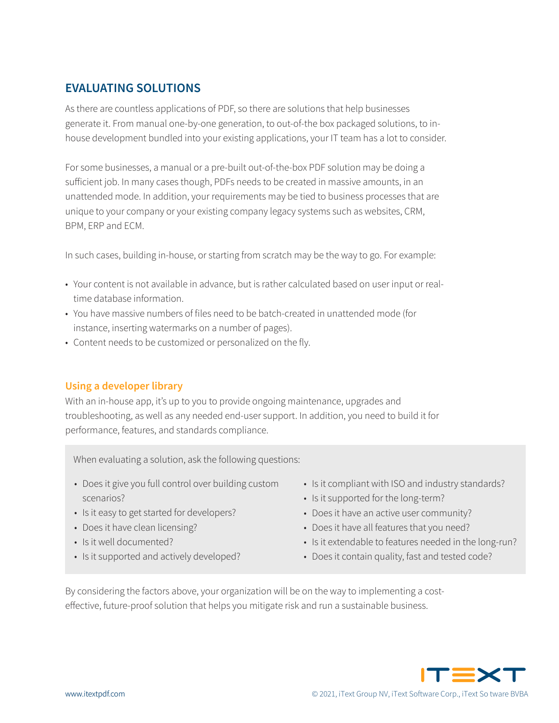# **EVALUATING SOLUTIONS**

As there are countless applications of PDF, so there are solutions that help businesses generate it. From manual one-by-one generation, to out-of-the box packaged solutions, to inhouse development bundled into your existing applications, your IT team has a lot to consider.

For some businesses, a manual or a pre-built out-of-the-box PDF solution may be doing a sufficient job. In many cases though, PDFs needs to be created in massive amounts, in an unattended mode. In addition, your requirements may be tied to business processes that are unique to your company or your existing company legacy systems such as websites, CRM, BPM, ERP and ECM.

In such cases, building in-house, or starting from scratch may be the way to go. For example:

- Your content is not available in advance, but is rather calculated based on user input or realtime database information.
- You have massive numbers of files need to be batch-created in unattended mode (for instance, inserting watermarks on a number of pages).
- Content needs to be customized or personalized on the fly.

## **Using a developer library**

With an in-house app, it's up to you to provide ongoing maintenance, upgrades and troubleshooting, as well as any needed end-user support. In addition, you need to build it for performance, features, and standards compliance.

When evaluating a solution, ask the following questions:

- Does it give you full control over building custom scenarios?
- Is it easy to get started for developers?
- Does it have clean licensing?
- Is it well documented?
- Is it supported and actively developed?
- Is it compliant with ISO and industry standards?
- Is it supported for the long-term?
- Does it have an active user community?
- Does it have all features that you need?
- Is it extendable to features needed in the long-run?
- Does it contain quality, fast and tested code?

By considering the factors above, your organization will be on the way to implementing a costeffective, future-proof solution that helps you mitigate risk and run a sustainable business.

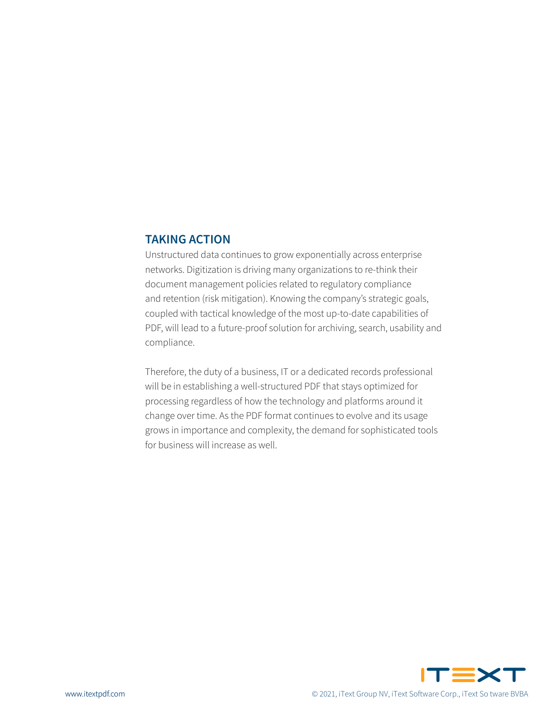#### **TAKING ACTION**

Unstructured data continues to grow exponentially across enterprise networks. Digitization is driving many organizations to re-think their document management policies related to regulatory compliance and retention (risk mitigation). Knowing the company's strategic goals, coupled with tactical knowledge of the most up-to-date capabilities of PDF, will lead to a future-proof solution for archiving, search, usability and compliance.

Therefore, the duty of a business, IT or a dedicated records professional will be in establishing a well-structured PDF that stays optimized for processing regardless of how the technology and platforms around it change over time. As the PDF format continues to evolve and its usage grows in importance and complexity, the demand for sophisticated tools for business will increase as well.